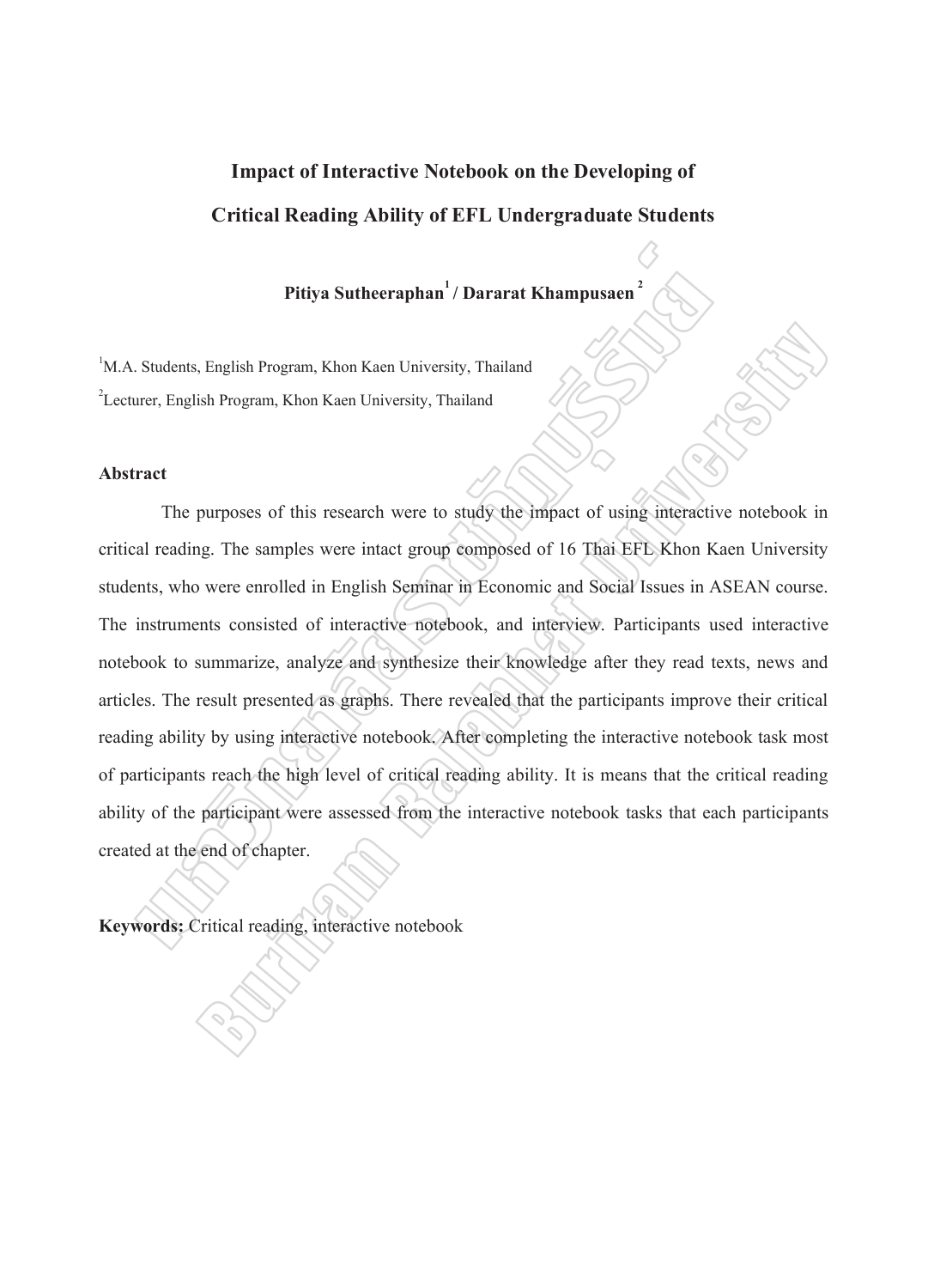# **Impact of Interactive Notebook on the Developing of Critical Reading Ability of EFL Undergraduate Students**

## Pitiva Sutheeraphan<sup>1</sup> / Dararat Khampusaen<sup>2</sup>

1 M.A. Students, English Program, Khon Kaen University, Thailand 2 Lecturer, English Program, Khon Kaen University, Thailand

### **Abstract**

The purposes of this research were to study the impact of using interactive notebook in critical reading. The samples were intact group composed of 16 Thai EFL Khon Kaen University students, who were enrolled in English Seminar in Economic and Social Issues in ASEAN course. The instruments consisted of interactive notebook, and interview. Participants used interactive notebook to summarize, analyze and synthesize their knowledge after they read texts, news and articles. The result presented as graphs. There revealed that the participants improve their critical reading ability by using interactive notebook. After completing the interactive notebook task most of participants reach the high level of critical reading ability. It is means that the critical reading ability of the participant were assessed from the interactive notebook tasks that each participants created at the end of chapter. Pitiya Sutheeraphan<sup>1</sup>/ Dararat Khampusaen<sup>2</sup><br>
Students, English Program, Khon Kaen University, Thailand<br>
urer, English Program, Khon Kaen University, Thailand<br>
urer, English Program, Khon Kaen University, Thailand<br>
The pu Finglish Program, Khon Kaen University, Thailand<br>
Sish Program, Khon Kaen University, Thailand<br>
purposes of this research were to study the impact of using interactive notebook in<br>
purposes of this research were to study t

**Keywords:**  Critical reading, interactive notebook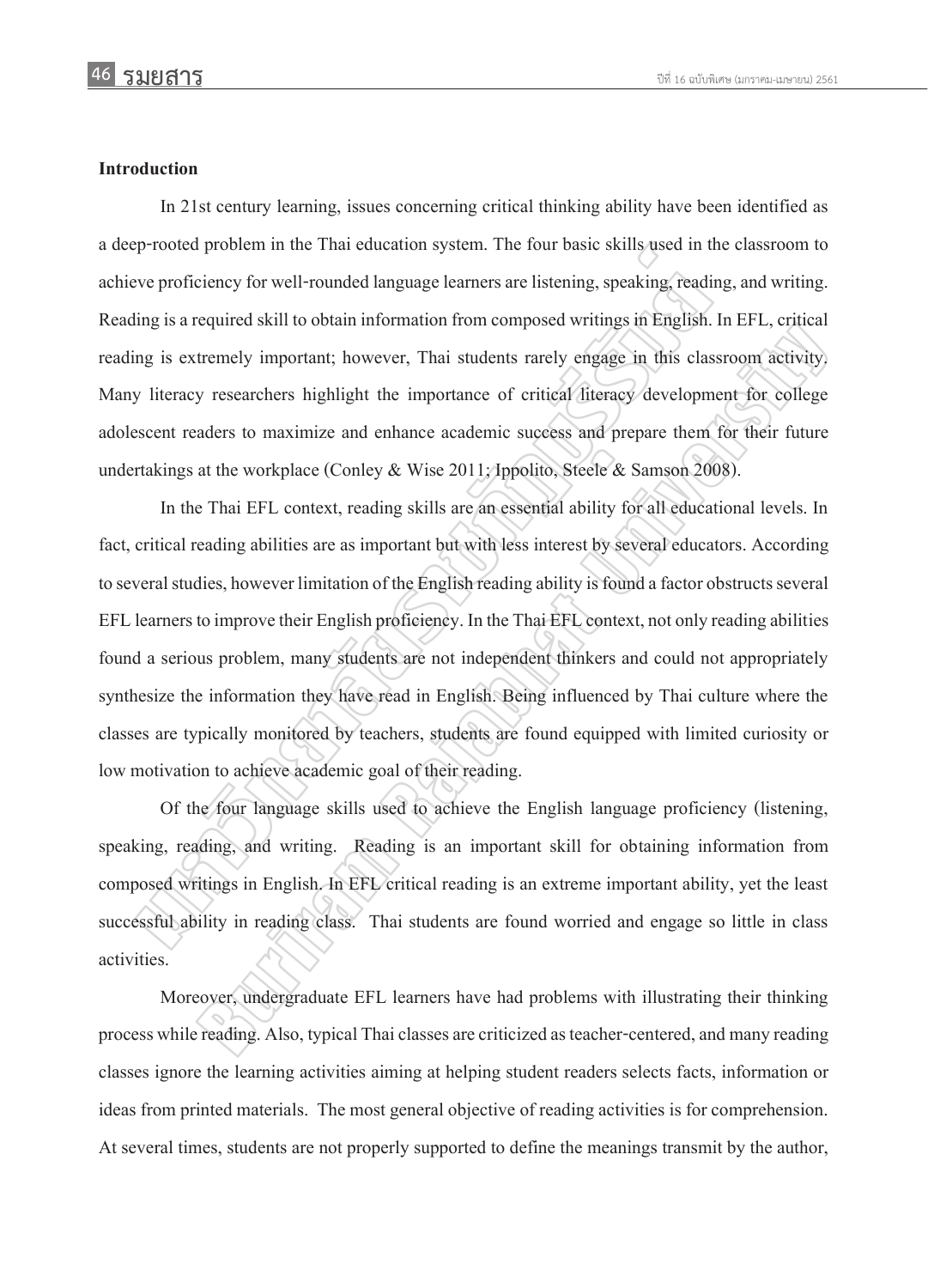### **Introduction**

In 21st century learning, issues concerning critical thinking ability have been identified as a deep-rooted problem in the Thai education system. The four basic skills used in the classroom to achieve proficiency for well-rounded language learners are listening, speaking, reading, and writing. Reading is a required skill to obtain information from composed writings in English. In EFL, critical reading is extremely important; however, Thai students rarely engage in this classroom activity. Many literacy researchers highlight the importance of critical literacy development for college adolescent readers to maximize and enhance academic success and prepare them for their future undertakings at the workplace (Conley & Wise 2011; Ippolito, Steele & Samson 2008).

In the Thai EFL context, reading skills are an essential ability for all educational levels. In fact, critical reading abilities are as important but with less interest by several educators. According to several studies, however limitation of the English reading ability is found a factor obstructs several EFL learners to improve their English proficiency. In the Thai EFL context, not only reading abilities found a serious problem, many students are not independent thinkers and could not appropriately synthesize the information they have read in English. Being influenced by Thai culture where the classes are typically monitored by teachers, students are found equipped with limited curiosity or low motivation to achieve academic goal of their reading. sprooted problem in the Thai education system. The four basic skills used in the veroficiency for well-rounded language learners are listening, speaking, reading is a required skill to obtain information from composed writ Example 11 and the methods are not independent thinking the state of the methods in the methods of the methods and properties in this case of calibration of the methods of the methods of the methods of the methods of the m

Of the four language skills used to achieve the English language proficiency (listening, speaking, reading, and writing. Reading is an important skill for obtaining information from composed writings in English. In EFL critical reading is an extreme important ability, yet the least successful ability in reading class. Thai students are found worried and engage so little in class activities.

Moreover, undergraduate EFL learners have had problems with illustrating their thinking process while reading. Also, typical Thai classes are criticized as teacher-centered, and many reading classes ignore the learning activities aiming at helping student readers selects facts, information or ideas from printed materials. The most general objective of reading activities is for comprehension. At several times, students are not properly supported to define the meanings transmit by the author,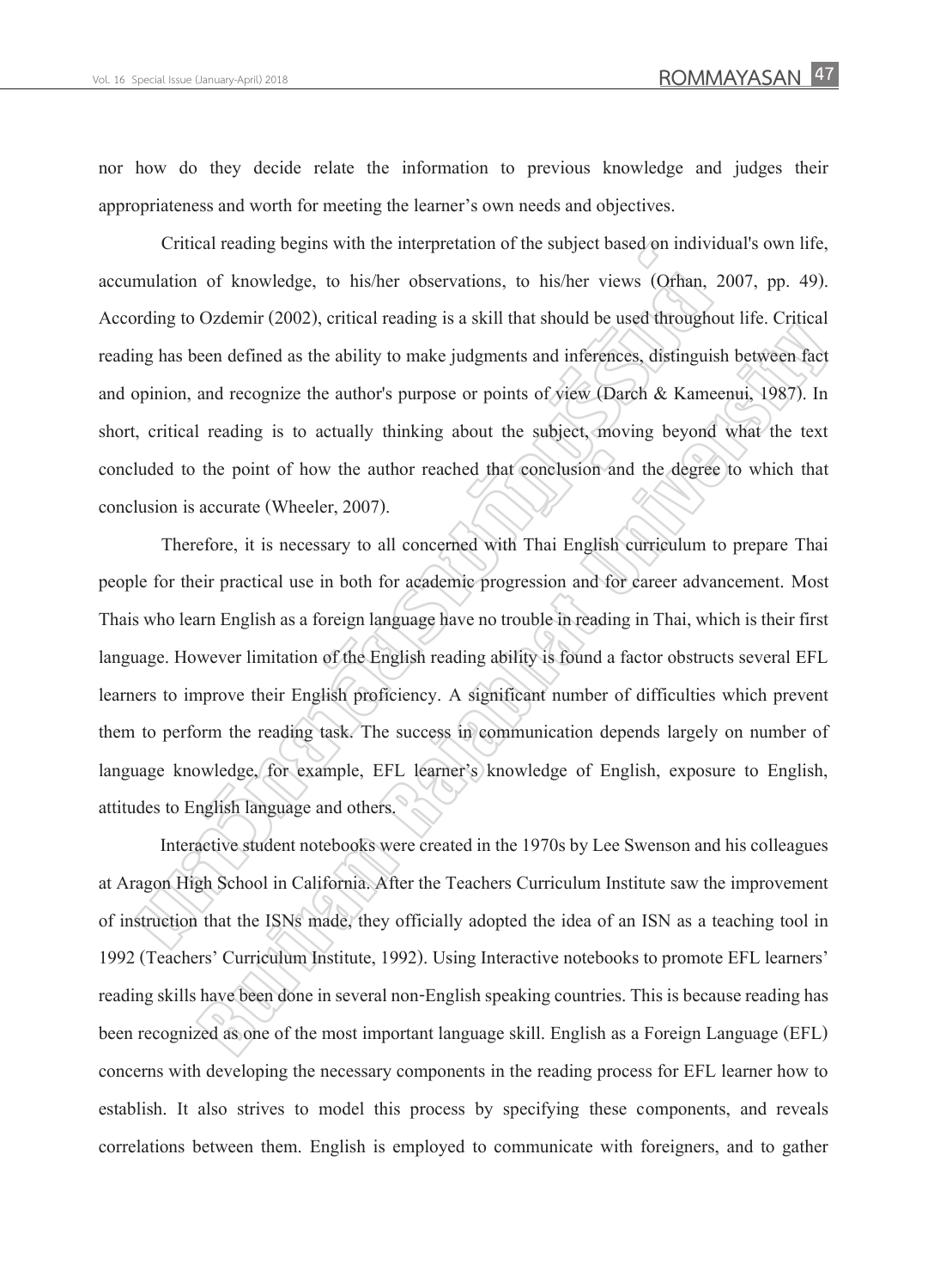nor how do they decide relate the information to previous knowledge and judges their appropriateness and worth for meeting the learner's own needs and objectives.

Critical reading begins with the interpretation of the subject based on individual's own life, accumulation of knowledge, to his/her observations, to his/her views (Orhan, 2007, pp. 49). According to Ozdemir (2002), critical reading is a skill that should be used throughout life. Critical reading has been defined as the ability to make judgments and inferences, distinguish between fact and opinion, and recognize the author's purpose or points of view (Darch & Kameenui, 1987). In short, critical reading is to actually thinking about the subject, moving beyond what the text concluded to the point of how the author reached that conclusion and the degree to which that conclusion is accurate (Wheeler, 2007).

Therefore, it is necessary to all concerned with Thai English curriculum to prepare Thai people for their practical use in both for academic progression and for career advancement. Most Thais who learn English as a foreign language have no trouble in reading in Thai, which is their first language. However limitation of the English reading ability is found a factor obstructs several EFL learners to improve their English proficiency. A significant number of difficulties which prevent them to perform the reading task. The success in communication depends largely on number of language knowledge, for example, EFL learner's knowledge of English, exposure to English, attitudes to English language and others. Critical reading begins with the interpretation of the subject based on indiviry<br>mulation of knowledge, to his/her observations, to his/her views (Orhan,<br>mulation of knowledge, to his/her observations, to his/her views (Or But the state of the state of the state of the state of the state of the state of the state of the state of the state of the state of the state of the state of the state of the state of the state of the and recognize the a

Interactive student notebooks were created in the 1970s by Lee Swenson and his colleagues at Aragon High School in California. After the Teachers Curriculum Institute saw the improvement of instruction that the ISNs made, they officially adopted the idea of an ISN as a teaching tool in 1992 (Teachers' Curriculum Institute, 1992). Using Interactive notebooks to promote EFL learners' reading skills have been done in several non-English speaking countries. This is because reading has been recognized as one of the most important language skill. English as a Foreign Language (EFL) concerns with developing the necessary components in the reading process for EFL learner how to establish. It also strives to model this process by specifying these components, and reveals correlations between them. English is employed to communicate with foreigners, and to gather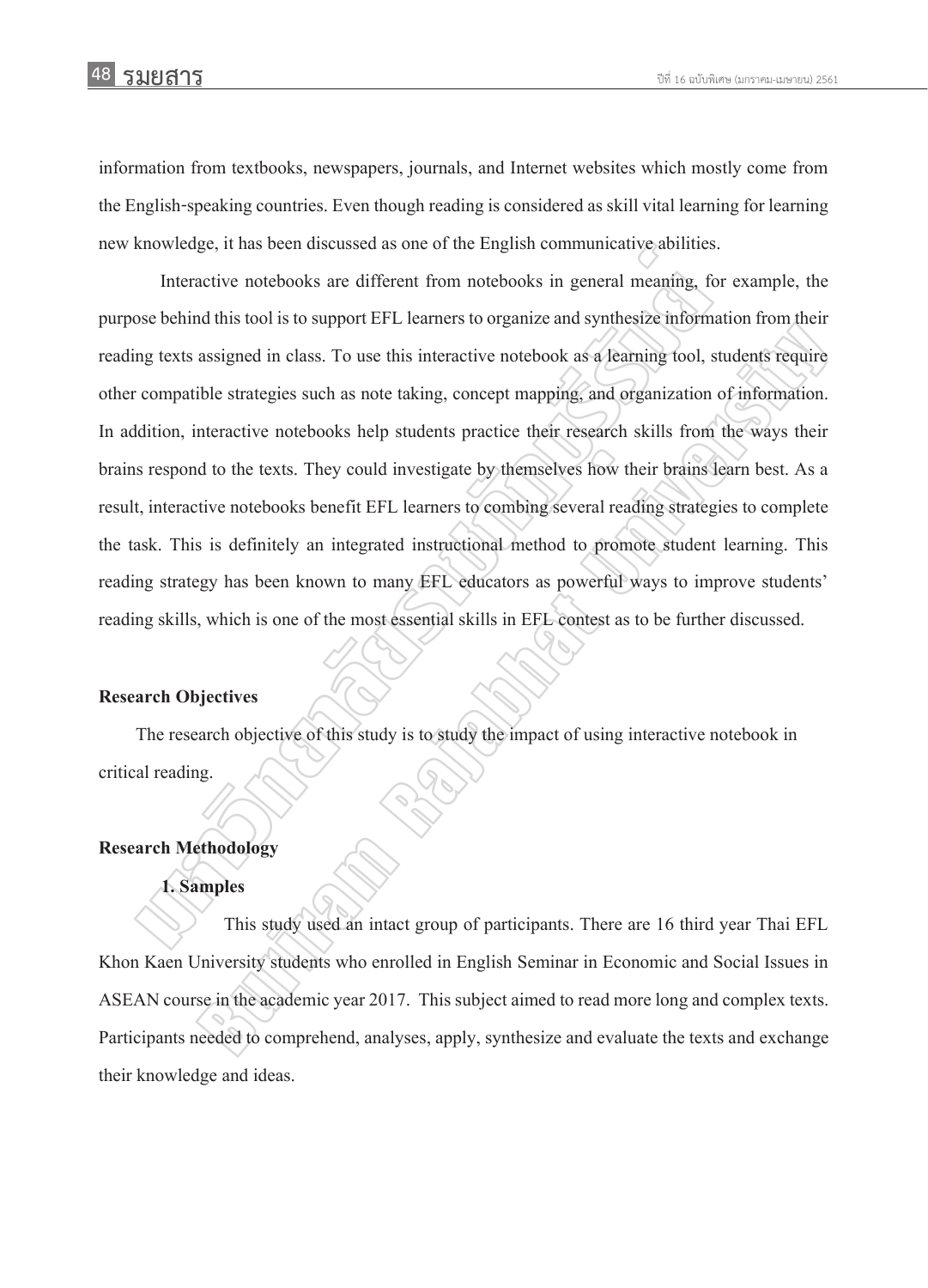information from textbooks, newspapers, journals, and Internet websites which mostly come from the English-speaking countries. Even though reading is considered as skill vital learning for learning new knowledge, it has been discussed as one of the English communicative abilities.

Interactive notebooks are different from notebooks in general meaning, for example, the purpose behind this tool is to support EFL learners to organize and synthesize information from their reading texts assigned in class. To use this interactive notebook as a learning tool, students require other compatible strategies such as note taking, concept mapping, and organization of information. In addition, interactive notebooks help students practice their research skills from the ways their brains respond to the texts. They could investigate by themselves how their brains learn best. As a result, interactive notebooks benefit EFL learners to combing several reading strategies to complete the task. This is definitely an integrated instructional method to promote student learning. This reading strategy has been known to many EFL educators as powerful ways to improve students' reading skills, which is one of the most essential skills in EFL contest as to be further discussed. Xhowledge, it has been discussed as one of the English communicative abilities<br>
Interactive notebooks are different from notebooks in general meaning, for<br>
Sose behind this tool is to support EFL learners to organize and s and an idea of a support of the interactive notebook as a fearming tool, students require<br>assigned in class. To use this interactive notebook as a fearming tool, students require<br>the strategies such as note taking, concept

#### **Research Objectives**

The research objective of this study is to study the impact of using interactive notebook in critical reading.

#### **Research Methodology**

#### **1. Samples**

This study used an intact group of participants. There are 16 third year Thai EFL Khon Kaen University students who enrolled in English Seminar in Economic and Social Issues in ASEAN course in the academic year 2017. This subject aimed to read more long and complex texts. Participants needed to comprehend, analyses, apply, synthesize and evaluate the texts and exchange their knowledge and ideas.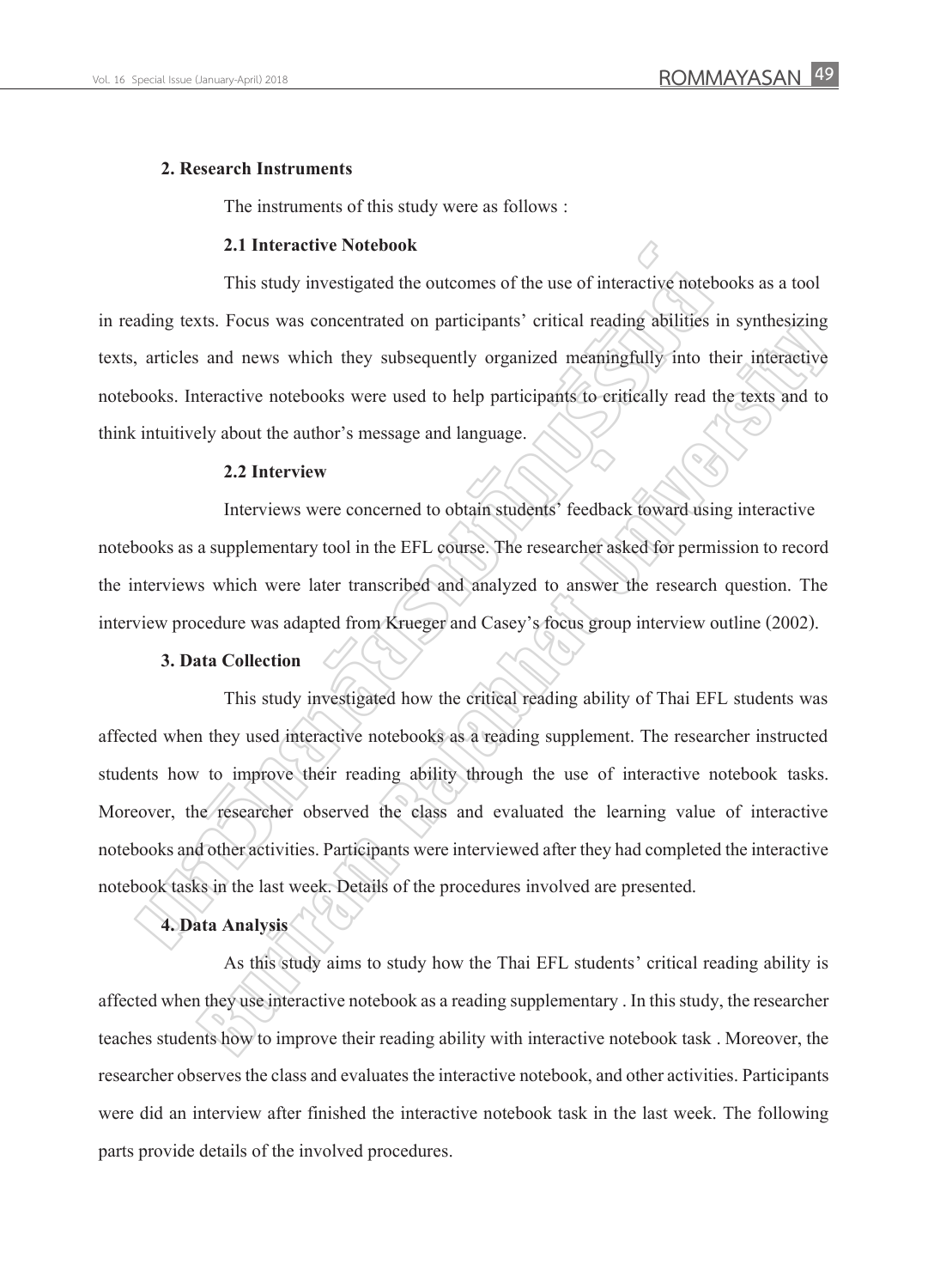#### **2. Research Instruments**

The instruments of this study were as follows :

### **2.1 Interactive Notebook**

This study investigated the outcomes of the use of interactive notebooks as a tool in reading texts. Focus was concentrated on participants' critical reading abilities in synthesizing texts, articles and news which they subsequently organized meaningfully into their interactive notebooks. Interactive notebooks were used to help participants to critically read the texts and to think intuitively about the author's message and language.

### **2.2 Interview**

Interviews were concerned to obtain students' feedback toward using interactive notebooks as a supplementary tool in the EFL course. The researcher asked for permission to record the interviews which were later transcribed and analyzed to answer the research question. The interview procedure was adapted from Krueger and Casey's focus group interview outline (2002).

### **3. Data Collection**

This study investigated how the critical reading ability of Thai EFL students was affected when they used interactive notebooks as a reading supplement. The researcher instructed students how to improve their reading ability through the use of interactive notebook tasks. Moreover, the researcher observed the class and evaluated the learning value of interactive notebooks and other activities. Participants were interviewed after they had completed the interactive notebook tasks in the last week. Details of the procedures involved are presented. 2.1 Interactive Notebook<br>This study investigated the outcomes of the use of interactive noted<br>ading texts. Focus was concentrated on participants' critical reading abilities<br>articles and news which they subsequently organi Substitute was absorbed to the procedures included the interactive interactive interactive numerically stand the texts and to the procedure interactive of the texts and to the procedure of the set of the procedure of the p

### **4. Data Analysis**

As this study aims to study how the Thai EFL students' critical reading ability is affected when they use interactive notebook as a reading supplementary . In this study, the researcher teaches students how to improve their reading ability with interactive notebook task . Moreover, the researcher observes the class and evaluates the interactive notebook, and other activities. Participants were did an interview after finished the interactive notebook task in the last week. The following parts provide details of the involved procedures.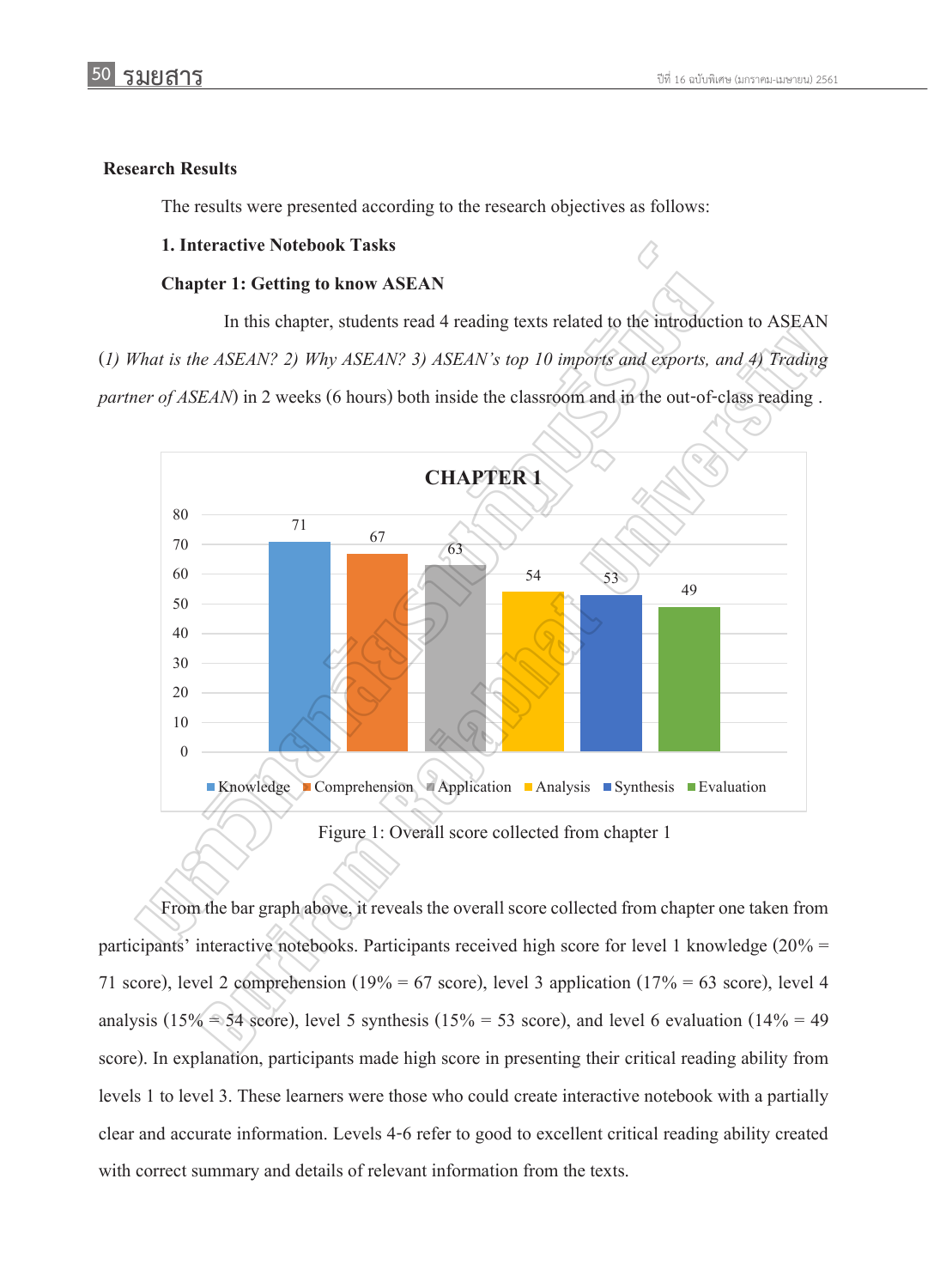### **Research Results**

The results were presented according to the research objectives as follows:

### **1. Interactive Notebook Tasks**

#### **Chapter 1: Getting to know ASEAN**

In this chapter, students read 4 reading texts related to the introduction to ASEAN (*1) What is the ASEAN? 2) Why ASEAN? 3) ASEAN's top 10 imports and exports, and 4) Trading partner of ASEAN*) in 2 weeks (6 hours) both inside the classroom and in the out-of-class reading.



From the bar graph above, it reveals the overall score collected from chapter one taken from participants' interactive notebooks. Participants received high score for level 1 knowledge ( $20\%$  = 71 score), level 2 comprehension (19% = 67 score), level 3 application (17% = 63 score), level 4 analysis (15% = 54 score), level 5 synthesis (15% = 53 score), and level 6 evaluation (14% = 49 score). In explanation, participants made high score in presenting their critical reading ability from levels 1 to level 3. These learners were those who could create interactive notebook with a partially clear and accurate information. Levels 4-6 refer to good to excellent critical reading ability created with correct summary and details of relevant information from the texts.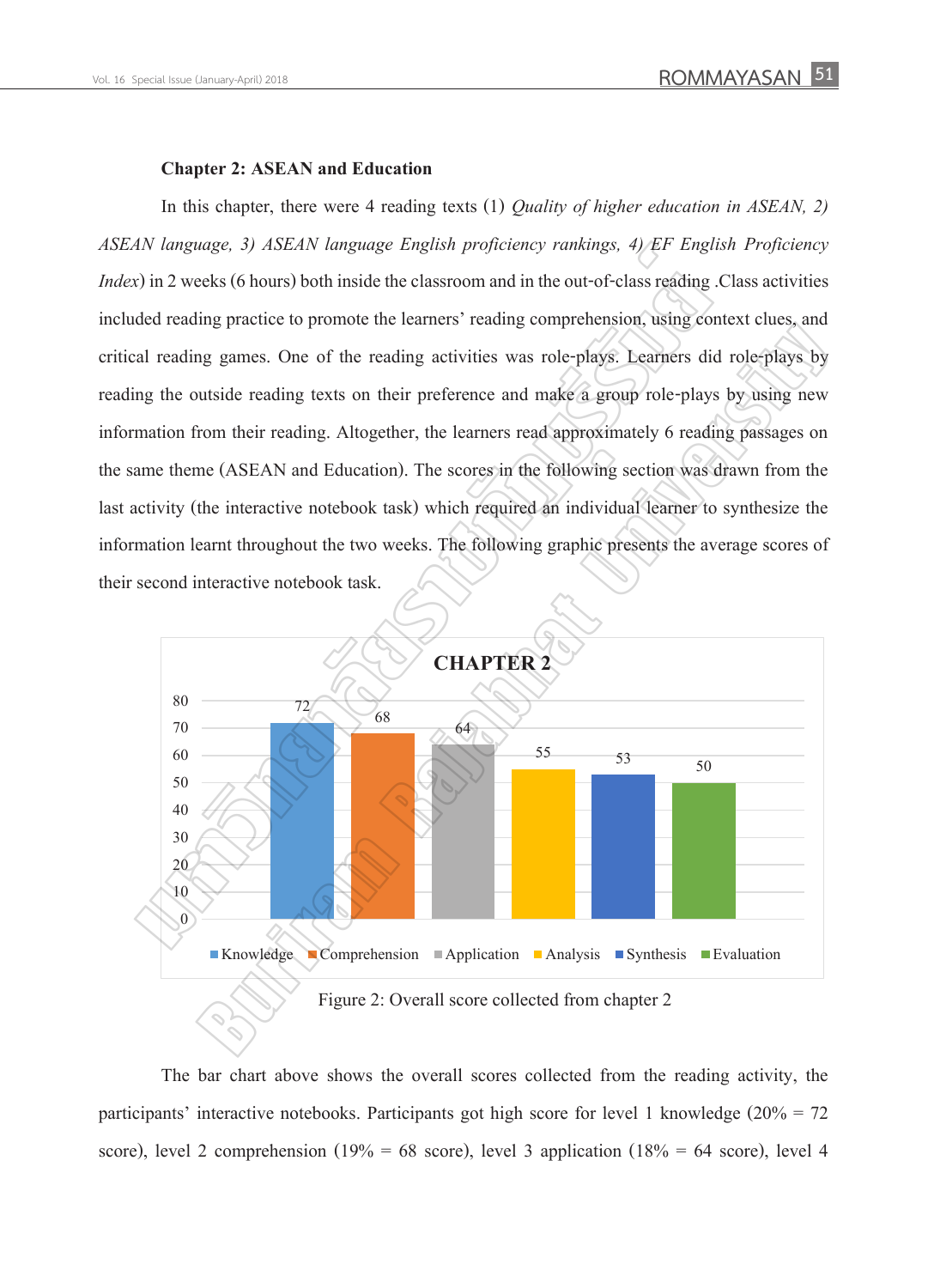#### **Chapter 2: ASEAN and Education**

In this chapter, there were 4 reading texts (1) *Quality of higher education in ASEAN, 2) ASEAN language, 3) ASEAN language English proficiency rankings, 4) EF English Proficiency Index*) in 2 weeks (6 hours) both inside the classroom and in the out-of-class reading .Class activities included reading practice to promote the learners' reading comprehension, using context clues, and critical reading games. One of the reading activities was role-plays. Learners did role-plays by reading the outside reading texts on their preference and make a group role-plays by using new information from their reading. Altogether, the learners read approximately 6 reading passages on the same theme (ASEAN and Education). The scores in the following section was drawn from the last activity (the interactive notebook task) which required an individual learner to synthesize the information learnt throughout the two weeks. The following graphic presents the average scores of their second interactive notebook task. N language, 3) ASEAN language English proficiency rankings, 4) EF Engl.<br>
Solvid 2 weeks (6 hours) both inside the classroom and in the out-of-class reading<br>
ded reading practice to promote the learners' reading comprehensi



The bar chart above shows the overall scores collected from the reading activity, the participants' interactive notebooks. Participants got high score for level 1 knowledge ( $20\% = 72$ score), level 2 comprehension (19% = 68 score), level 3 application (18% = 64 score), level 4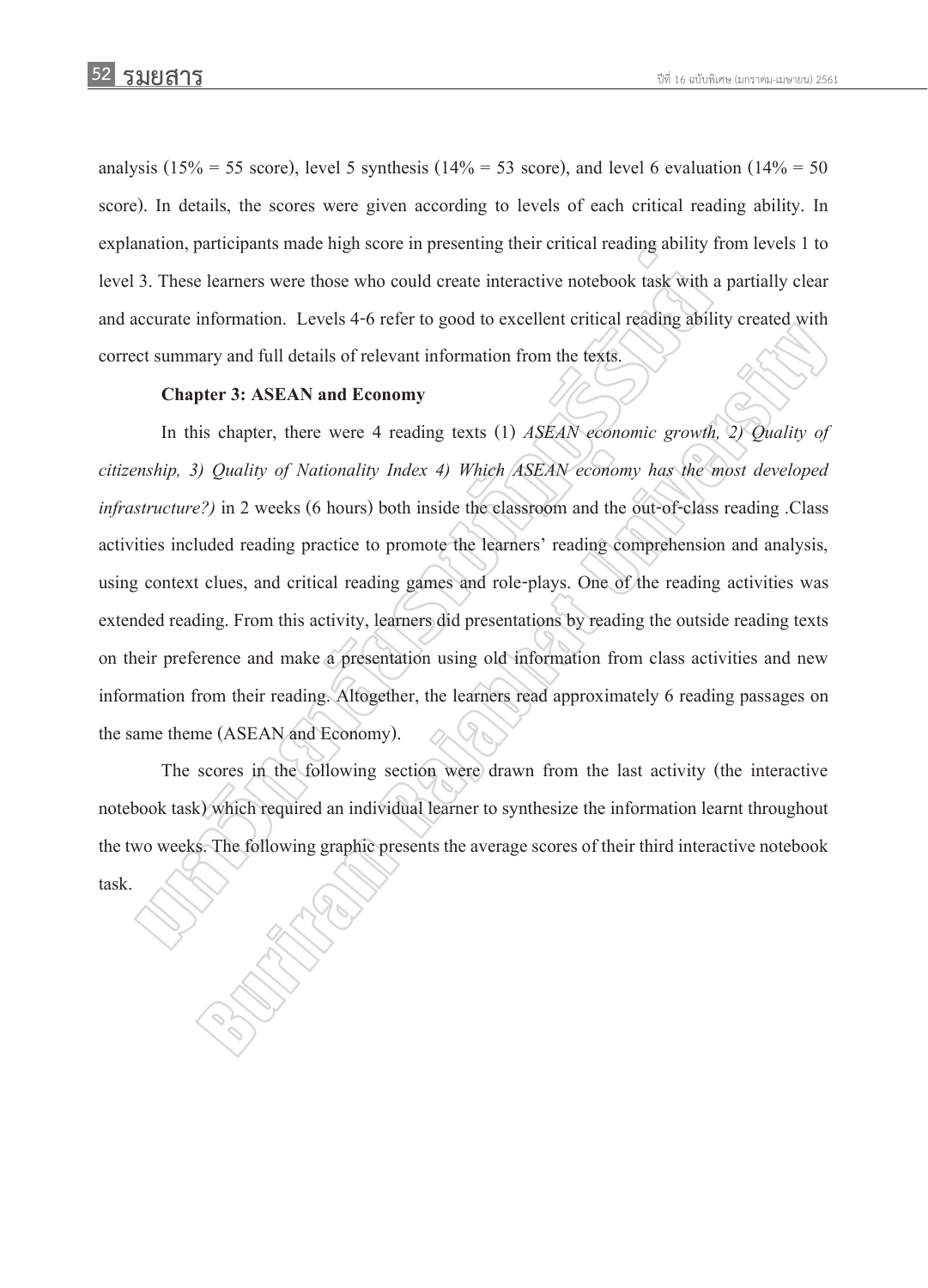analysis (15% = 55 score), level 5 synthesis (14% = 53 score), and level 6 evaluation (14% = 50 score). In details, the scores were given according to levels of each critical reading ability. In explanation, participants made high score in presenting their critical reading ability from levels 1 to level 3. These learners were those who could create interactive notebook task with a partially clear and accurate information. Levels 4-6 refer to good to excellent critical reading ability created with correct summary and full details of relevant information from the texts.

#### **Chapter 3: ASEAN and Economy**

In this chapter, there were 4 reading texts (1) *ASEAN economic growth, 2) Quality of citizenship, 3) Quality of Nationality Index 4) Which ASEAN economy has the most developed infrastructure?)* in 2 weeks (6 hours) both inside the classroom and the out-of-class reading .Class activities included reading practice to promote the learners' reading comprehension and analysis, using context clues, and critical reading games and role-plays. One of the reading activities was extended reading. From this activity, learners did presentations by reading the outside reading texts on their preference and make a presentation using old information from class activities and new information from their reading. Altogether, the learners read approximately 6 reading passages on the same theme (ASEAN and Economy). mation, participants made high score in presenting their critical reading ability 1<br>3. These learners were those who could create interactive notebook task with accurate information. Levels 4-6 refer to good to excellent c minimalia Eversi V stead to good is excelent entired classing using vectors and<br>tary and full details of relevant information from the fexts.<br>
pter 3: ASEAN and Economy<br>
is chapter, there were 4 reading texts (1) ASEAN eco

The scores in the following section were drawn from the last activity (the interactive notebook task) which required an individual learner to synthesize the information learnt throughout the two weeks. The following graphic presents the average scores of their third interactive notebook task.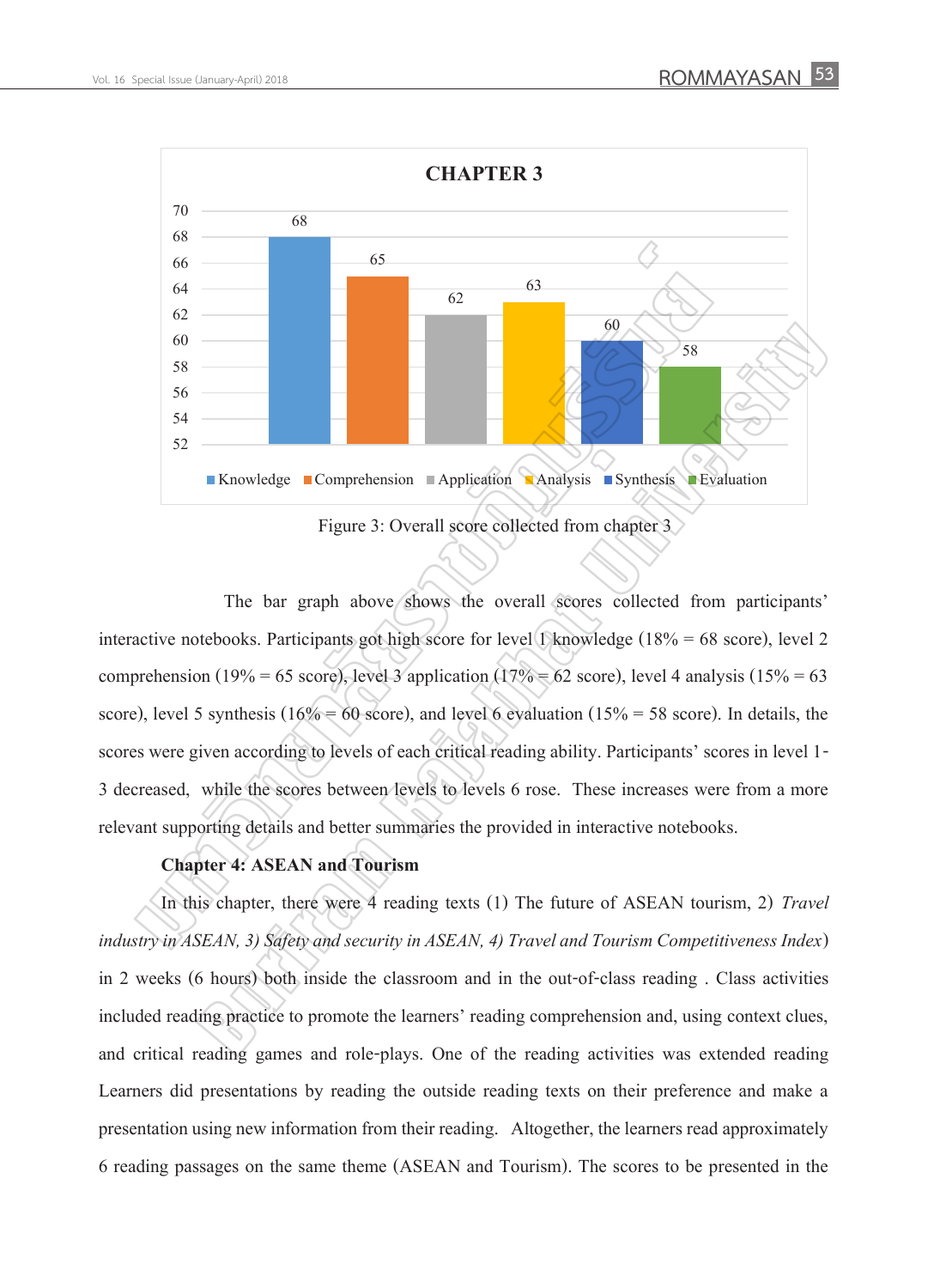

### Figure 3: Overall score collected from chapter 3

The bar graph above shows the overall scores collected from participants' interactive notebooks. Participants got high score for level 1 knowledge (18% = 68 score), level 2 comprehension (19% = 65 score), level 3 application (17% = 62 score), level 4 analysis (15% = 63 score), level 5 synthesis ( $16\% = 60$  score), and level 6 evaluation ( $15\% = 58$  score). In details, the scores were given according to levels of each critical reading ability. Participants' scores in level 1- 3 decreased, while the scores between levels to levels 6 rose. These increases were from a more relevant supporting details and better summaries the provided in interactive notebooks. **Example 18**<br> **Example 18**<br> **Example 18**<br> **Example 21**<br> **Example 31**<br> **Example 31**<br> **Example 31**<br> **Example 31**<br> **Example 31**<br> **Example 31**<br> **Example 31**<br> **Example 31**<br> **Example 31**<br> **Example 31**<br> **Example 31**<br> **Example 31** 

### **Chapter 4: ASEAN and Tourism**

In this chapter, there were 4 reading texts (1) The future of ASEAN tourism, 2) *Travel industry in ASEAN, 3) Safety and security in ASEAN, 4) Travel and Tourism Competitiveness Index*) in 2 weeks (6 hours) both inside the classroom and in the out-of-class reading . Class activities included reading practice to promote the learners' reading comprehension and, using context clues, and critical reading games and role-plays. One of the reading activities was extended reading Learners did presentations by reading the outside reading texts on their preference and make a presentation using new information from their reading. Altogether, the learners read approximately 6 reading passages on the same theme (ASEAN and Tourism). The scores to be presented in the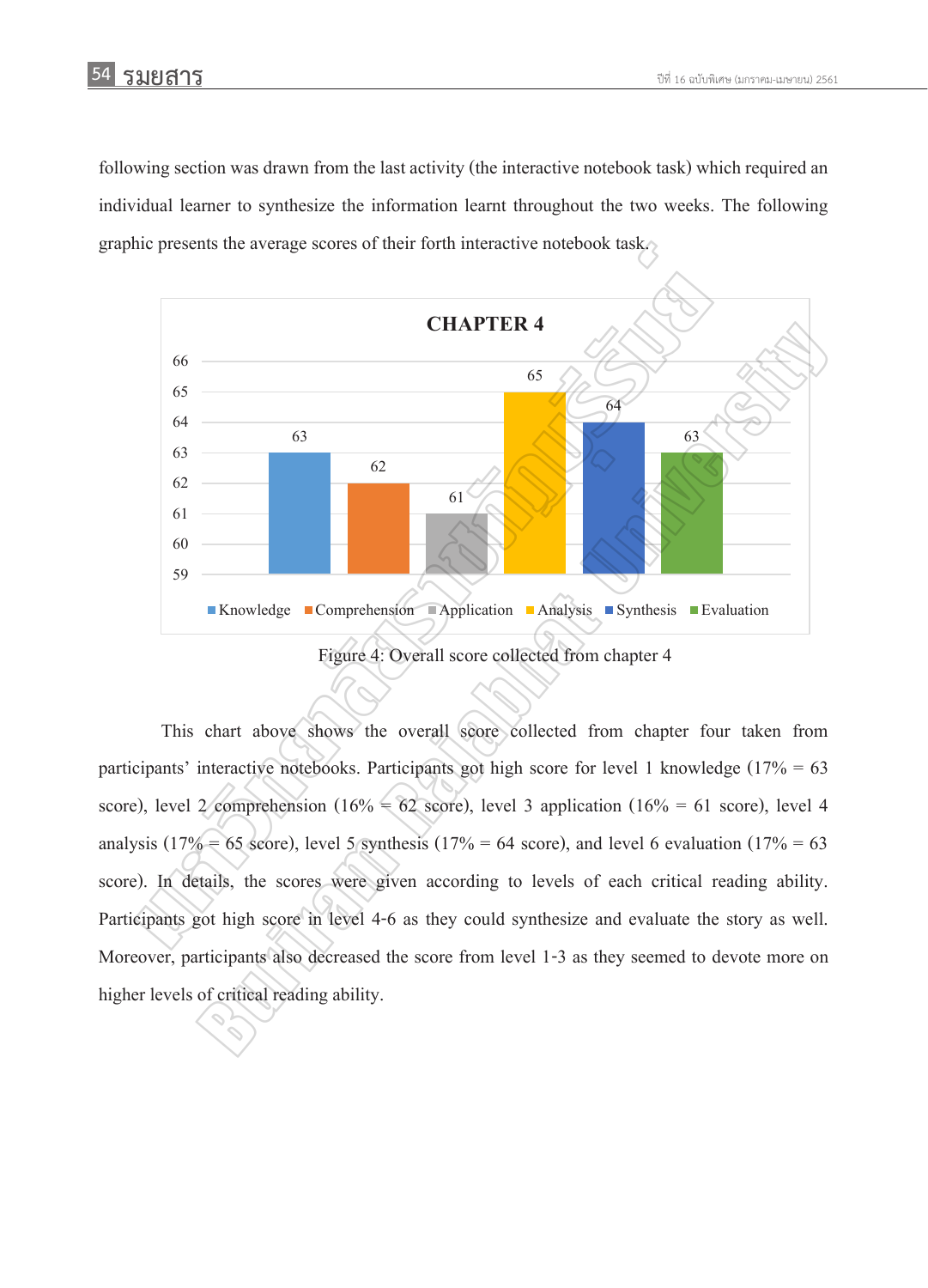following section was drawn from the last activity (the interactive notebook task) which required an individual learner to synthesize the information learnt throughout the two weeks. The following graphic presents the average scores of their forth interactive notebook task.



Figure 4: Overall score collected from chapter 4

This chart above shows the overall score collected from chapter four taken from participants' interactive notebooks. Participants got high score for level 1 knowledge ( $17\% = 63$ ) score), level 2 comprehension (16% = 62 score), level 3 application (16% = 61 score), level 4 analysis (17% = 65 score), level 5 synthesis (17% = 64 score), and level 6 evaluation (17% = 63 score). In details, the scores were given according to levels of each critical reading ability. Participants got high score in level 4-6 as they could synthesize and evaluate the story as well. Moreover, participants also decreased the score from level 1-3 as they seemed to devote more on higher levels of critical reading ability.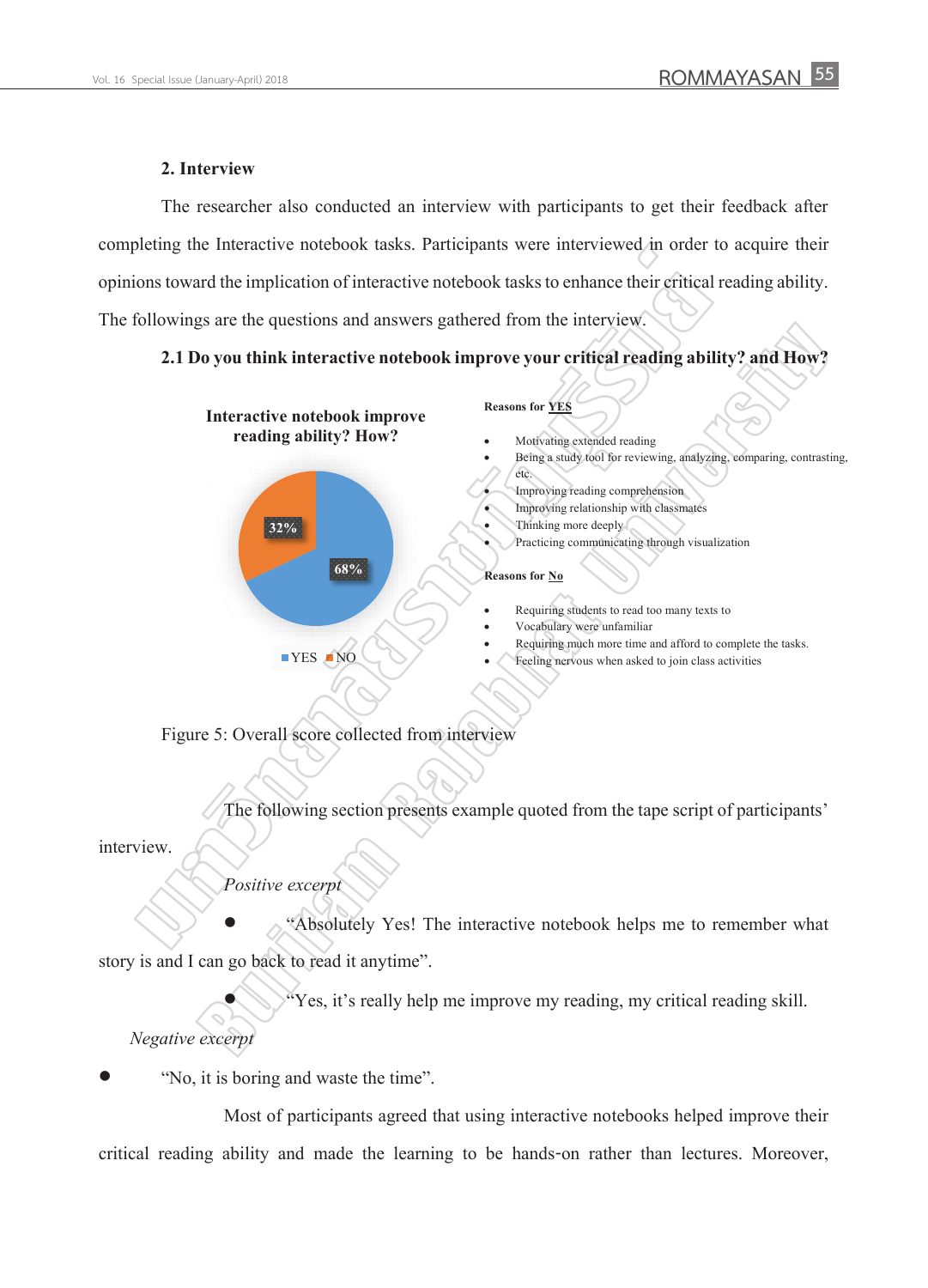### **2. Interview**

The researcher also conducted an interview with participants to get their feedback after completing the Interactive notebook tasks. Participants were interviewed in order to acquire their opinions toward the implication of interactive notebook tasks to enhance their critical reading ability. The followings are the questions and answers gathered from the interview.

### **2.1 Do you think interactive notebook improve your critical reading ability? and How?**



Figure 5: Overall score collected from interview

The following section presents example quoted from the tape script of participants'

interview.

*Positive excerpt*

 "Absolutely Yes! The interactive notebook helps me to remember what story is and I can go back to read it anytime".

"Yes, it's really help me improve my reading, my critical reading skill.

*Negative excerpt*

"No, it is boring and waste the time".

Most of participants agreed that using interactive notebooks helped improve their critical reading ability and made the learning to be hands-on rather than lectures. Moreover,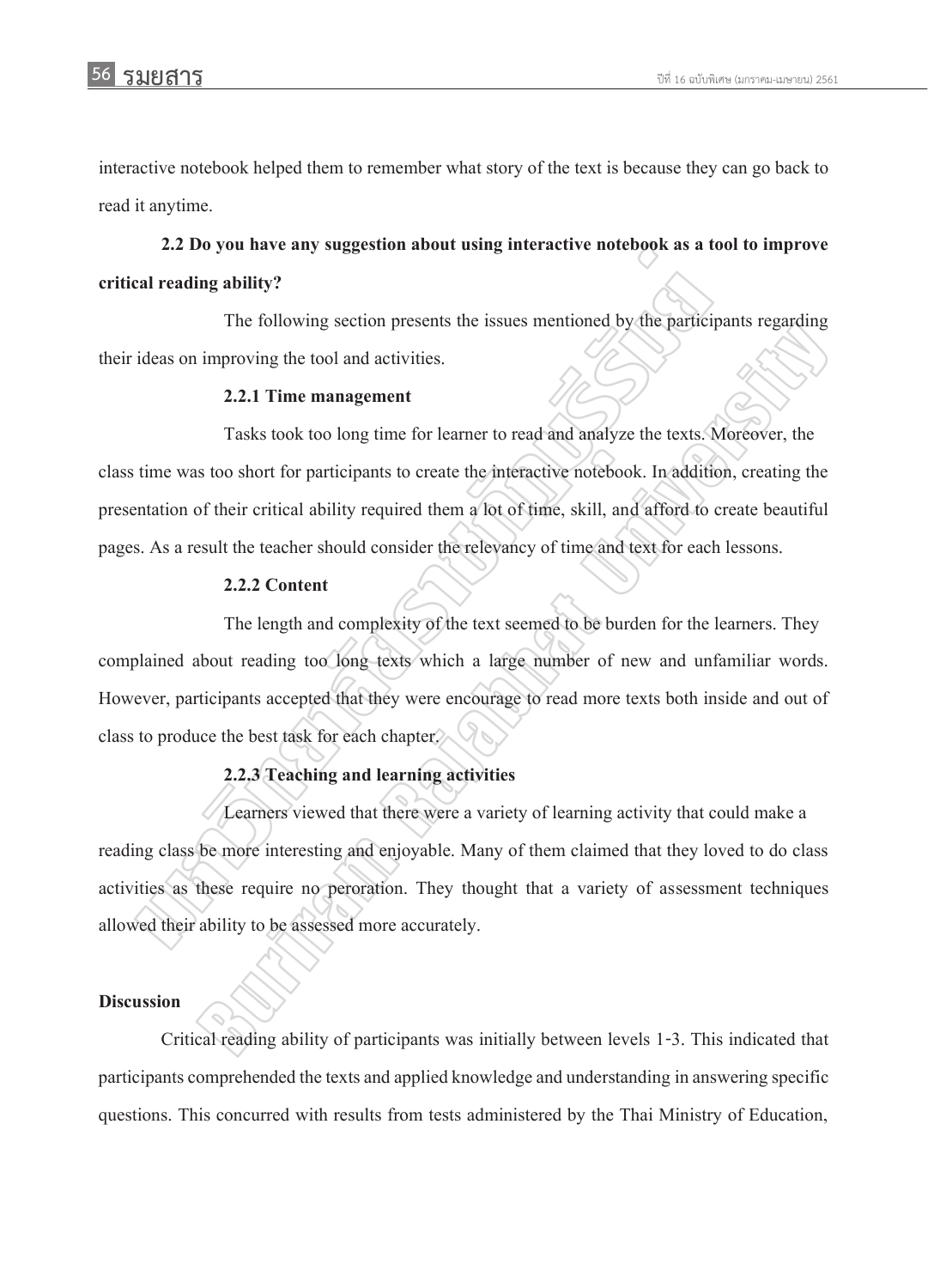interactive notebook helped them to remember what story of the text is because they can go back to read it anytime.

**2.2 Do you have any suggestion about using interactive notebook as a tool to improve critical reading ability?**

The following section presents the issues mentioned by the participants regarding their ideas on improving the tool and activities.

### **2.2.1 Time management**

Tasks took too long time for learner to read and analyze the texts. Moreover, the class time was too short for participants to create the interactive notebook. In addition, creating the presentation of their critical ability required them a lot of time, skill, and afford to create beautiful pages. As a result the teacher should consider the relevancy of time and text for each lessons. 2.2 Do you have any suggestion about using interactive notebook as a text reading ability?<br>
The following section presents the issues mentioned by the particip<br>
ideas on improving the tool and activities.<br>
2.2.1 Time mana The total and activities.<br>
2.2.1 Time management<br>
Tasks took too long time for learner to read and analyze the texts. Moreover, the<br>
sub solon for participants to create the interactive notebook. In addition, creating the<br>

### **2.2.2 Content**

The length and complexity of the text seemed to be burden for the learners. They complained about reading too long texts which a large number of new and unfamiliar words. However, participants accepted that they were encourage to read more texts both inside and out of class to produce the best task for each chapter.

### **2.2.3 Teaching and learning activities**

Learners viewed that there were a variety of learning activity that could make a reading class be more interesting and enjoyable. Many of them claimed that they loved to do class activities as these require no peroration. They thought that a variety of assessment techniques allowed their ability to be assessed more accurately.

### **Discussion**

Critical reading ability of participants was initially between levels 1-3. This indicated that participants comprehended the texts and applied knowledge and understandingin answering specific questions. This concurred with results from tests administered by the Thai Ministry of Education,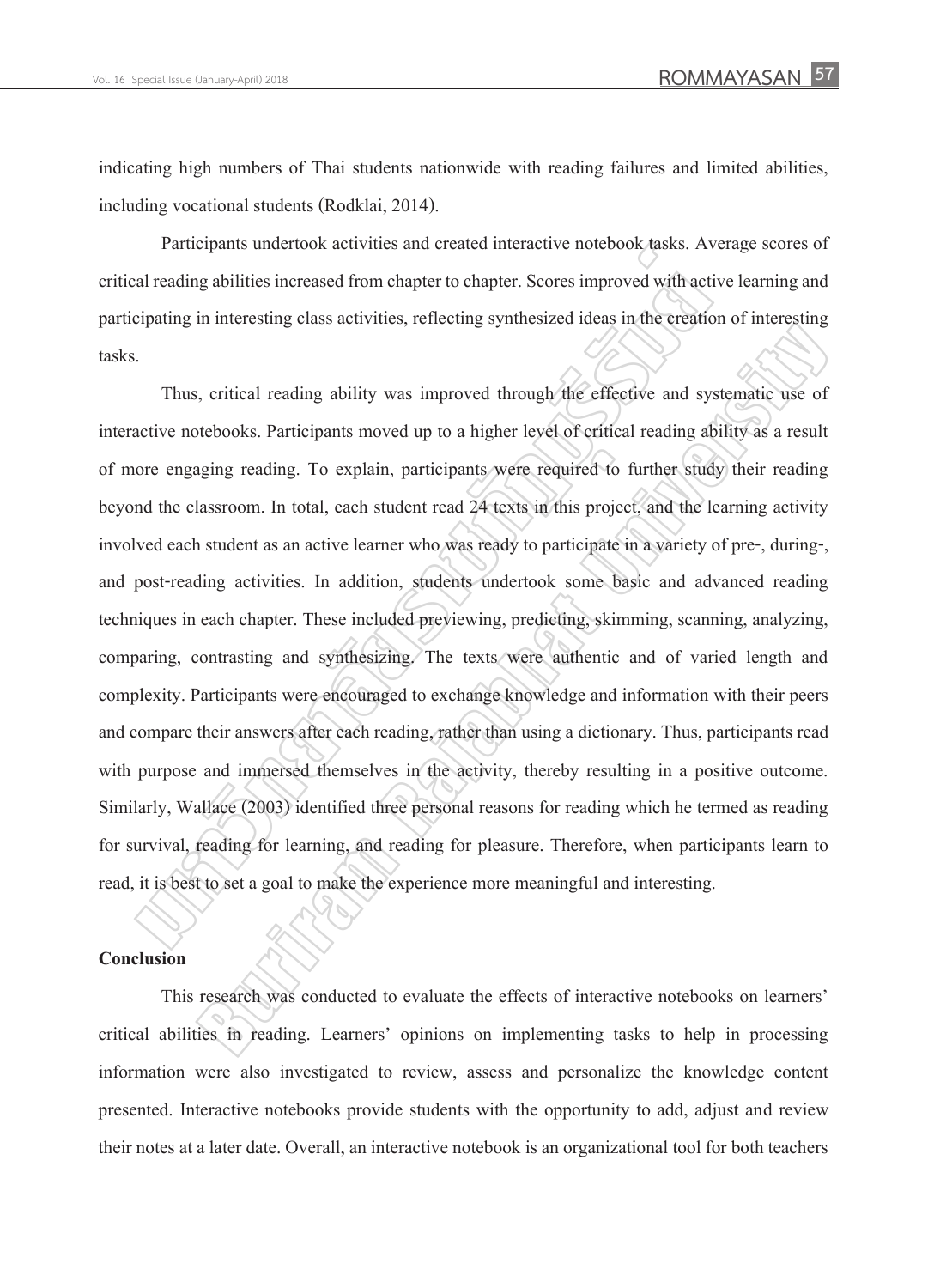indicating high numbers of Thai students nationwide with reading failures and limited abilities, including vocational students (Rodklai, 2014).

Participants undertook activities and created interactive notebook tasks. Average scores of critical reading abilities increased from chapter to chapter. Scores improved with active learning and participating in interesting class activities, reflecting synthesized ideas in the creation of interesting tasks.

Thus, critical reading ability was improved through the effective and systematic use of interactive notebooks. Participants moved up to a higher level of critical reading ability as a result of more engaging reading. To explain, participants were required to further study their reading beyond the classroom. In total, each student read 24 texts in this project, and the learning activity involved each student as an active learner who was ready to participate in a variety of pre-, during-, and post-reading activities. In addition, students undertook some basic and advanced reading techniques in each chapter. These included previewing, predicting, skimming, scanning, analyzing, comparing, contrasting and synthesizing. The texts were authentic and of varied length and complexity. Participants were encouraged to exchange knowledge and information with their peers and compare their answers after each reading, rather than using a dictionary. Thus, participants read with purpose and immersed themselves in the activity, thereby resulting in a positive outcome. Similarly, Wallace (2003) identified three personal reasons for reading which he termed as reading for survival, reading for learning, and reading for pleasure. Therefore, when participants learn to read, it is best to set a goal to make the experience more meaningful and interesting. Participants undertook activities and created interactive notebook tasks. Avail reading abilities increased from chapter to chapter. Scores improved with activity in interesting class activities, reflecting synthesized ide In increasing ones determine, pencentry symmetric enter of the extender or increasing<br>spin reactions, and the extender of the effective and systematic use of<br>tebooks. Participants moved up to a higher leyel of erifical rea

### **Conclusion**

This research was conducted to evaluate the effects of interactive notebooks on learners' critical abilities in reading. Learners' opinions on implementing tasks to help in processing information were also investigated to review, assess and personalize the knowledge content presented. Interactive notebooks provide students with the opportunity to add, adjust and review their notes at a later date. Overall, an interactive notebook is an organizational tool for both teachers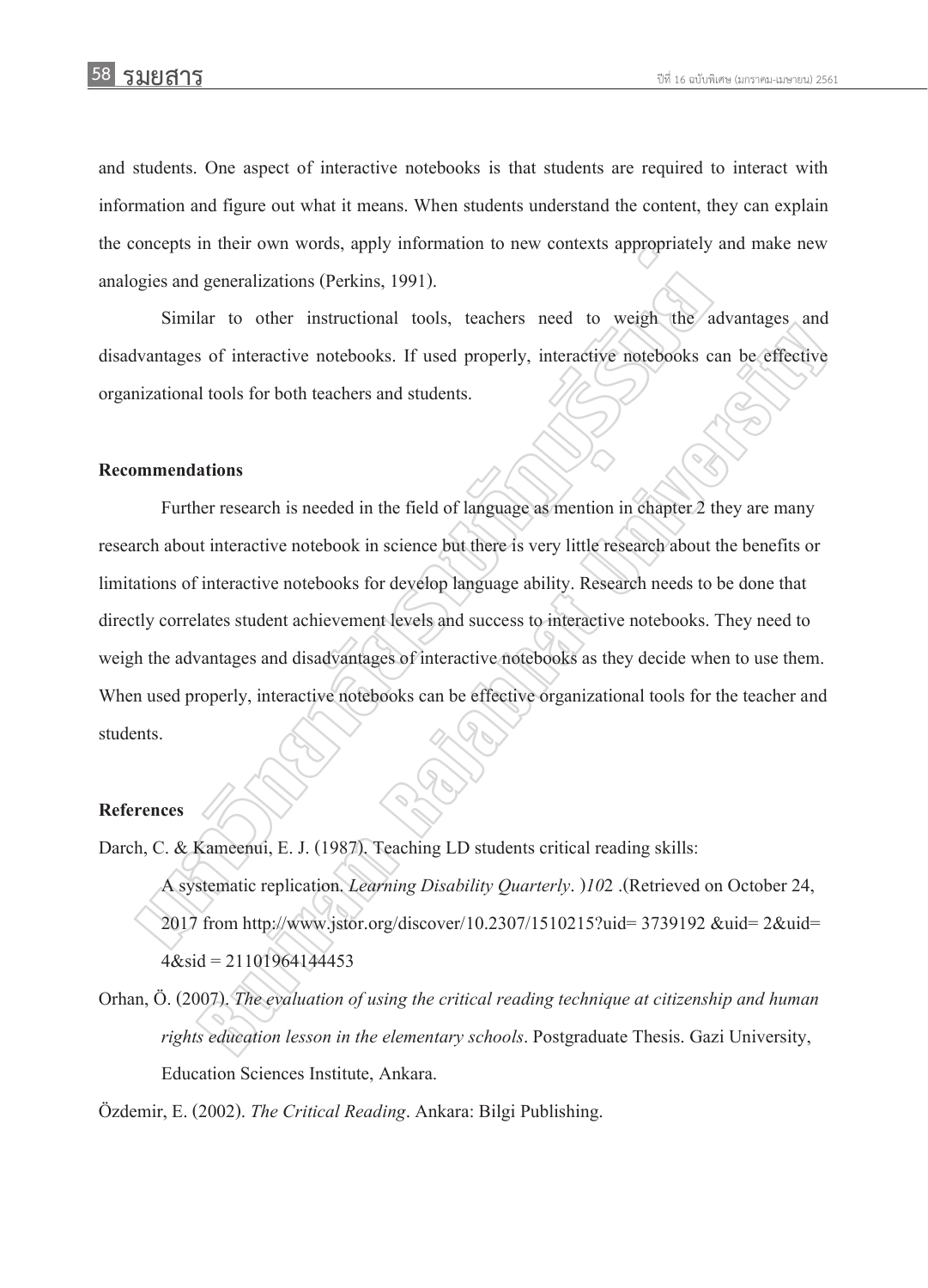and students. One aspect of interactive notebooks is that students are required to interact with information and figure out what it means. When students understand the content, they can explain the concepts in their own words, apply information to new contexts appropriately and make new analogies and generalizations (Perkins, 1991).

Similar to other instructional tools, teachers need to weigh the advantages and disadvantages of interactive notebooks. If used properly, interactive notebooks can be effective organizational tools for both teachers and students.

#### **Recommendations**

Further research is needed in the field of language as mention in chapter 2 they are many research about interactive notebook in science but there is very little research about the benefits or limitations of interactive notebooks for develop language ability. Research needs to be done that directly correlates student achievement levels and success to interactive notebooks. They need to weigh the advantages and disadvantages of interactive notebooks as they decide when to use them. When used properly, interactive notebooks can be effective organizational tools for the teacher and students. oncepts in their own words, apply information to new contexts appropriately<br>gies and generalizations (Perkins, 1991).<br>Similar to other instructional tools, teachers need to weigh the a<br>dvantages of interactive notebooks. I and to each instalactional costs, teachers also developed and same of interactive included to the effective<br>of interactive notebooks. If used properly, interactive notebooks can be effective<br>ations<br>ations<br>ations<br>ations<br>ati

#### **References**

Darch, C. & Kameenui, E. J. (1987). Teaching LD students critical reading skills: A systematic replication. *Learning Disability Quarterly*. )*01*2 .)Retrieved on October 22, 2017 from http://www.jstor.org/discover/10.2307/1510215?uid= 3739192 &uid= 2&uid=  $4\&$ sid = 21101964144453

Orhan, Ö. (2007). *The evaluation of using the critical reading technique at citizenship and human rights education lesson in the elementary schools*. Postgraduate Thesis. Gazi University, Education Sciences Institute, Ankara.

Özdemir, E. (2002). *The Critical Reading*. Ankara: Bilgi Publishing.